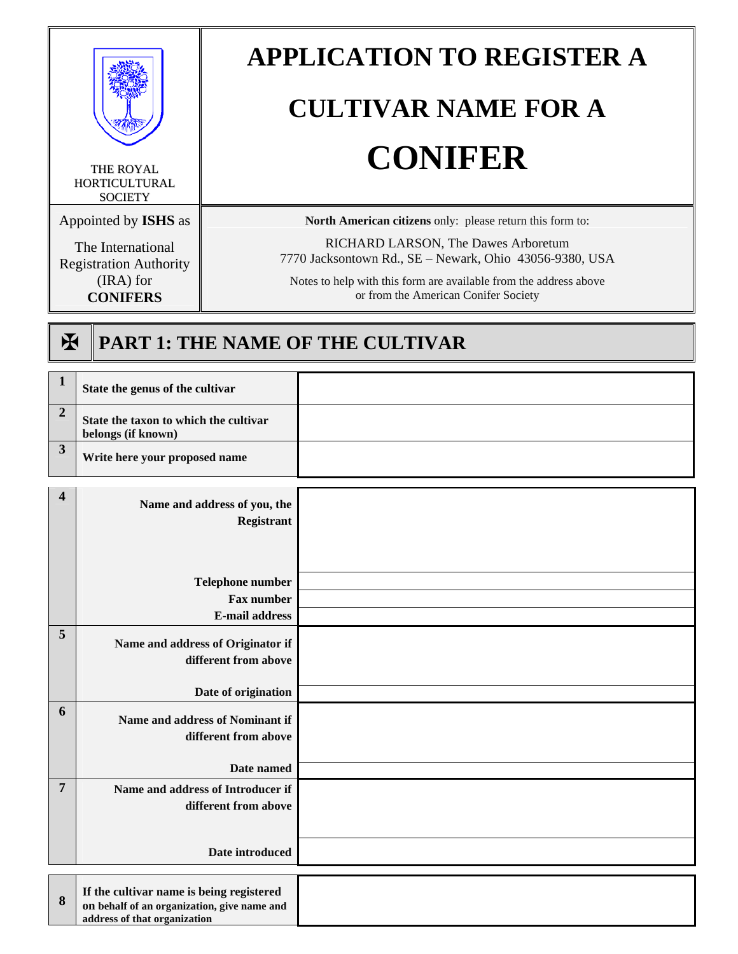

THE ROYAL **HORTICULTURAL SOCIETY** 

Appointed by **ISHS** as

The International Registration Authority (IRA) for **CONIFERS**

# **APPLICATION TO REGISTER A**

# **CULTIVAR NAME FOR A CONIFER**

**North American citizens** only: please return this form to:

RICHARD LARSON, The Dawes Arboretum 7770 Jacksontown Rd., SE – Newark, Ohio 43056-9380, USA

Notes to help with this form are available from the address above or from the American Conifer Society

## ? **PART 1: THE NAME OF THE CULTIVAR**

| $\mathbf{1}$            | State the genus of the cultivar                                                                                         |  |
|-------------------------|-------------------------------------------------------------------------------------------------------------------------|--|
| $\overline{2}$          | State the taxon to which the cultivar<br>belongs (if known)                                                             |  |
| $\overline{\mathbf{3}}$ | Write here your proposed name                                                                                           |  |
| $\overline{\mathbf{4}}$ | Name and address of you, the                                                                                            |  |
|                         | Registrant                                                                                                              |  |
|                         |                                                                                                                         |  |
|                         | <b>Telephone number</b>                                                                                                 |  |
|                         | <b>Fax number</b>                                                                                                       |  |
|                         | <b>E-mail address</b>                                                                                                   |  |
| 5                       | Name and address of Originator if<br>different from above                                                               |  |
|                         | Date of origination                                                                                                     |  |
| 6                       | Name and address of Nominant if<br>different from above                                                                 |  |
|                         | Date named                                                                                                              |  |
| 7                       | Name and address of Introducer if<br>different from above                                                               |  |
|                         | Date introduced                                                                                                         |  |
|                         |                                                                                                                         |  |
| 8                       | If the cultivar name is being registered<br>on behalf of an organization, give name and<br>address of that organization |  |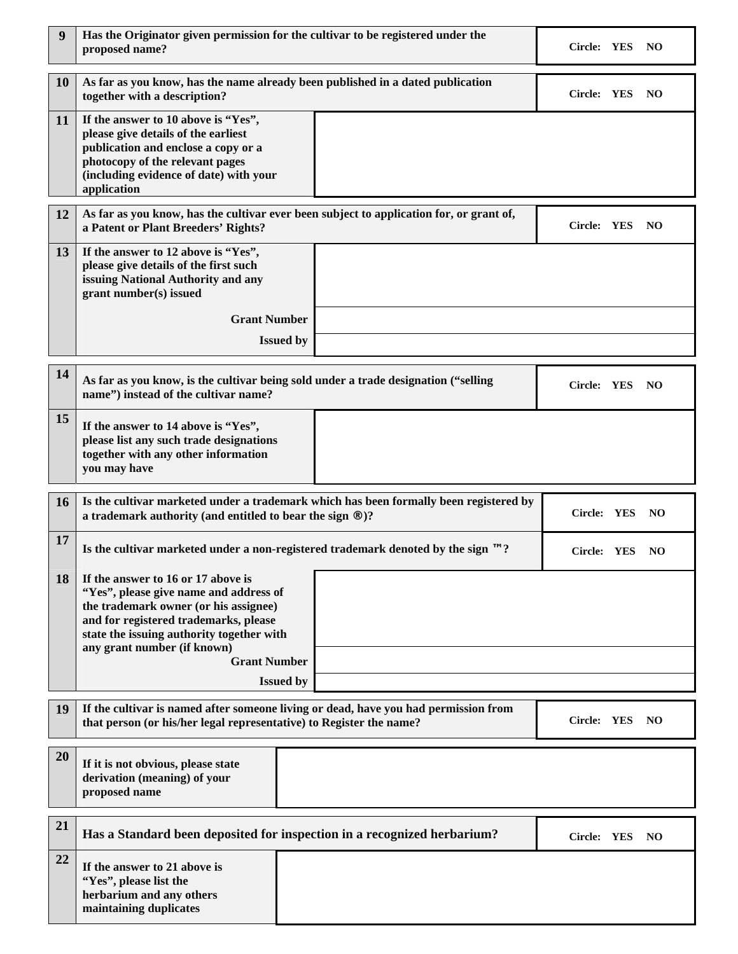| 9  | Has the Originator given permission for the cultivar to be registered under the<br>proposed name?                                                                                                                                                                 |                                                                                         | Circle: YES<br>NO   |
|----|-------------------------------------------------------------------------------------------------------------------------------------------------------------------------------------------------------------------------------------------------------------------|-----------------------------------------------------------------------------------------|---------------------|
| 10 | together with a description?                                                                                                                                                                                                                                      | As far as you know, has the name already been published in a dated publication          | Circle: YES<br>NO   |
| 11 | If the answer to 10 above is "Yes",<br>please give details of the earliest<br>publication and enclose a copy or a<br>photocopy of the relevant pages<br>(including evidence of date) with your<br>application                                                     |                                                                                         |                     |
| 12 | a Patent or Plant Breeders' Rights?                                                                                                                                                                                                                               | As far as you know, has the cultivar ever been subject to application for, or grant of, | Circle: YES<br>NO   |
| 13 | If the answer to 12 above is "Yes",<br>please give details of the first such<br>issuing National Authority and any<br>grant number(s) issued                                                                                                                      |                                                                                         |                     |
|    | <b>Grant Number</b>                                                                                                                                                                                                                                               |                                                                                         |                     |
|    |                                                                                                                                                                                                                                                                   | <b>Issued by</b>                                                                        |                     |
| 14 | name") instead of the cultivar name?                                                                                                                                                                                                                              | As far as you know, is the cultivar being sold under a trade designation ("selling      | Circle: YES<br>- NO |
| 15 | If the answer to 14 above is "Yes",<br>please list any such trade designations<br>together with any other information<br>you may have                                                                                                                             |                                                                                         |                     |
| 16 | Is the cultivar marketed under a trademark which has been formally been registered by<br>Circle: YES<br>NO.<br>a trademark authority (and entitled to bear the sign ®)?                                                                                           |                                                                                         |                     |
| 17 | Is the cultivar marketed under a non-registered trademark denoted by the sign $\mathbb{M}$ ?<br>Circle: YES<br>NO.                                                                                                                                                |                                                                                         |                     |
| 18 | If the answer to 16 or 17 above is<br>"Yes", please give name and address of<br>the trademark owner (or his assignee)<br>and for registered trademarks, please<br>state the issuing authority together with<br>any grant number (if known)<br><b>Grant Number</b> |                                                                                         |                     |
|    |                                                                                                                                                                                                                                                                   | <b>Issued by</b>                                                                        |                     |
| 19 | If the cultivar is named after someone living or dead, have you had permission from<br>Circle: YES<br>NO<br>that person (or his/her legal representative) to Register the name?                                                                                   |                                                                                         |                     |
| 20 | If it is not obvious, please state<br>derivation (meaning) of your<br>proposed name                                                                                                                                                                               |                                                                                         |                     |
| 21 | Has a Standard been deposited for inspection in a recognized herbarium?<br>Circle: YES<br>NO.                                                                                                                                                                     |                                                                                         |                     |
| 22 | If the answer to 21 above is<br>"Yes", please list the<br>herbarium and any others<br>maintaining duplicates                                                                                                                                                      |                                                                                         |                     |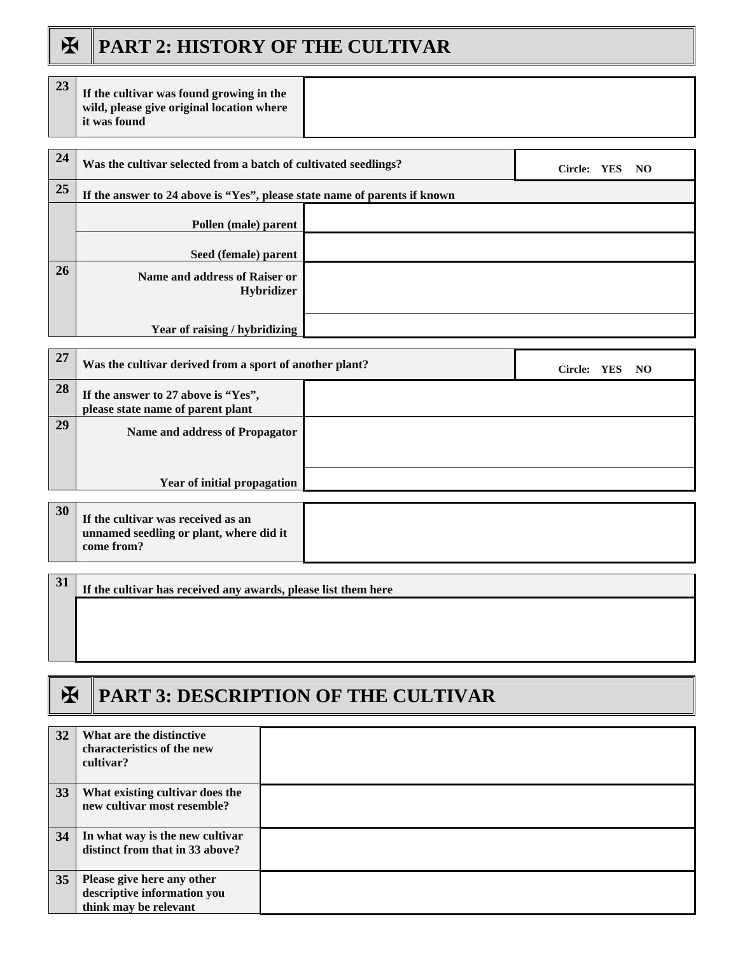### **EX PART 2: HISTORY OF THE CULTIVAR**

| 23        | If the cultivar was found growing in the<br>wild, please give original location where<br>it was found |  |  |
|-----------|-------------------------------------------------------------------------------------------------------|--|--|
|           |                                                                                                       |  |  |
| 24        | Was the cultivar selected from a batch of cultivated seedlings?<br>Circle: YES NO                     |  |  |
| 25        | If the answer to 24 above is "Yes", please state name of parents if known                             |  |  |
|           | Pollen (male) parent                                                                                  |  |  |
|           | Seed (female) parent                                                                                  |  |  |
| <b>26</b> | Name and address of Raiser or<br><b>Hybridizer</b>                                                    |  |  |
|           |                                                                                                       |  |  |
|           | Year of raising / hybridizing                                                                         |  |  |
| $-$       |                                                                                                       |  |  |

| 27 | Was the cultivar derived from a sport of another plant?                  |  | Circle: YES NO |
|----|--------------------------------------------------------------------------|--|----------------|
| 28 | If the answer to 27 above is "Yes",<br>please state name of parent plant |  |                |
| 29 | Name and address of Propagator                                           |  |                |
|    | Year of initial propagation                                              |  |                |
| 30 |                                                                          |  |                |

| 30 | If the cultivar was received as an<br>unnamed seedling or plant, where did it<br>come from? |  |
|----|---------------------------------------------------------------------------------------------|--|
|----|---------------------------------------------------------------------------------------------|--|

**31** If the cultivar has received any awards, please list them here

#### ? **PART 3: DESCRIPTION OF THE CULTIVAR**

| 32 | What are the distinctive<br>characteristics of the new<br>cultivar?                |  |
|----|------------------------------------------------------------------------------------|--|
| 33 | What existing cultivar does the<br>new cultivar most resemble?                     |  |
| 34 | In what way is the new cultivar<br>distinct from that in 33 above?                 |  |
| 35 | Please give here any other<br>descriptive information you<br>think may be relevant |  |